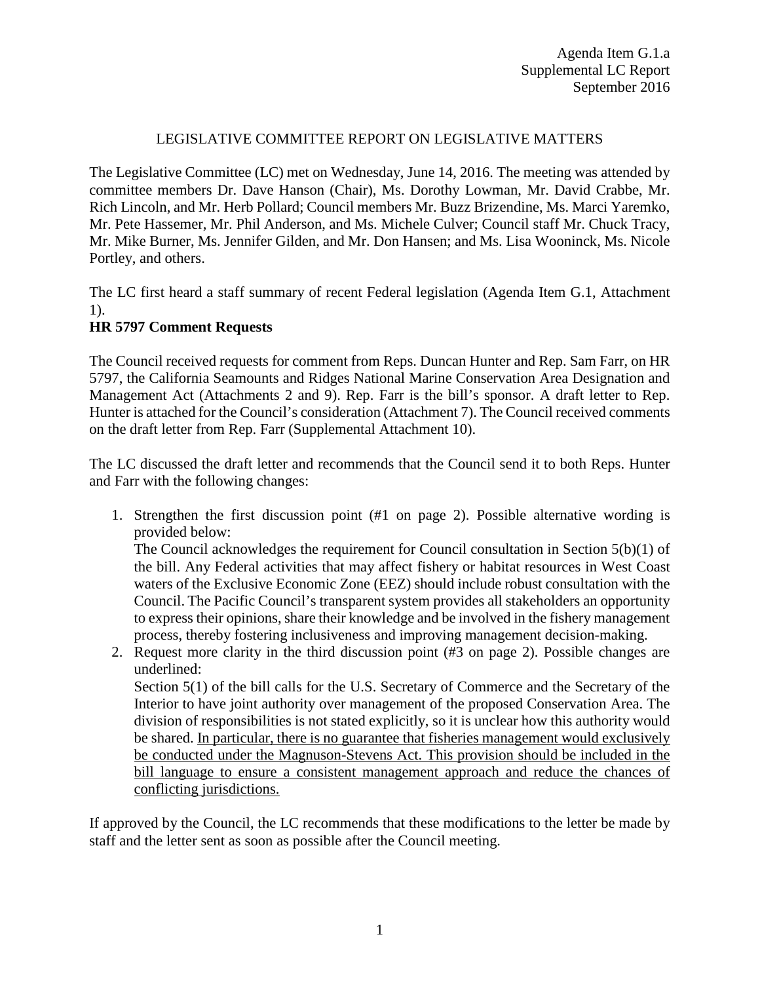# LEGISLATIVE COMMITTEE REPORT ON LEGISLATIVE MATTERS

The Legislative Committee (LC) met on Wednesday, June 14, 2016. The meeting was attended by committee members Dr. Dave Hanson (Chair), Ms. Dorothy Lowman, Mr. David Crabbe, Mr. Rich Lincoln, and Mr. Herb Pollard; Council members Mr. Buzz Brizendine, Ms. Marci Yaremko, Mr. Pete Hassemer, Mr. Phil Anderson, and Ms. Michele Culver; Council staff Mr. Chuck Tracy, Mr. Mike Burner, Ms. Jennifer Gilden, and Mr. Don Hansen; and Ms. Lisa Wooninck, Ms. Nicole Portley, and others.

The LC first heard a staff summary of recent Federal legislation (Agenda Item G.1, Attachment 1).

# **HR 5797 Comment Requests**

The Council received requests for comment from Reps. Duncan Hunter and Rep. Sam Farr, on HR 5797, the California Seamounts and Ridges National Marine Conservation Area Designation and Management Act (Attachments 2 and 9). Rep. Farr is the bill's sponsor. A draft letter to Rep. Hunter is attached for the Council's consideration (Attachment 7). The Council received comments on the draft letter from Rep. Farr (Supplemental Attachment 10).

The LC discussed the draft letter and recommends that the Council send it to both Reps. Hunter and Farr with the following changes:

1. Strengthen the first discussion point (#1 on page 2). Possible alternative wording is provided below:

The Council acknowledges the requirement for Council consultation in Section  $5(b)(1)$  of the bill. Any Federal activities that may affect fishery or habitat resources in West Coast waters of the Exclusive Economic Zone (EEZ) should include robust consultation with the Council. The Pacific Council's transparent system provides all stakeholders an opportunity to express their opinions, share their knowledge and be involved in the fishery management process, thereby fostering inclusiveness and improving management decision-making.

2. Request more clarity in the third discussion point (#3 on page 2). Possible changes are underlined: Section 5(1) of the bill calls for the U.S. Secretary of Commerce and the Secretary of the Interior to have joint authority over management of the proposed Conservation Area. The division of responsibilities is not stated explicitly, so it is unclear how this authority would be shared. In particular, there is no guarantee that fisheries management would exclusively be conducted under the Magnuson-Stevens Act. This provision should be included in the bill language to ensure a consistent management approach and reduce the chances of conflicting jurisdictions.

If approved by the Council, the LC recommends that these modifications to the letter be made by staff and the letter sent as soon as possible after the Council meeting.